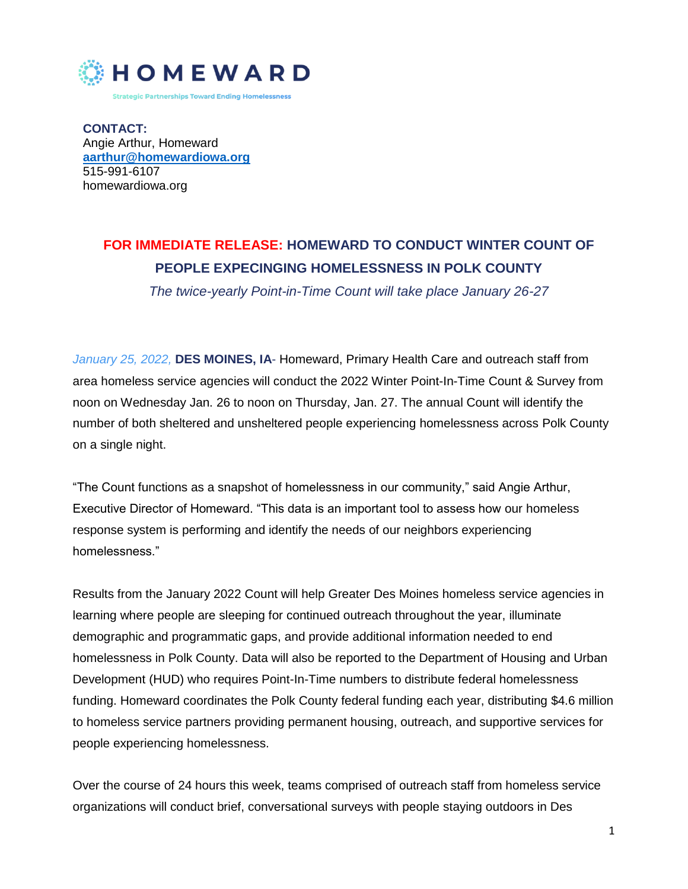

**CONTACT:** Angie Arthur, Homeward **[aarthur@homewardiowa.org](mailto:aarthur@homewardiowa.org)** 515-991-6107 homewardiowa.org

## **FOR IMMEDIATE RELEASE: HOMEWARD TO CONDUCT WINTER COUNT OF PEOPLE EXPECINGING HOMELESSNESS IN POLK COUNTY**

*The twice-yearly Point-in-Time Count will take place January 26-27*

*January 25, 2022,* **DES MOINES, IA**- Homeward, Primary Health Care and outreach staff from area homeless service agencies will conduct the 2022 Winter Point-In-Time Count & Survey from noon on Wednesday Jan. 26 to noon on Thursday, Jan. 27. The annual Count will identify the number of both sheltered and unsheltered people experiencing homelessness across Polk County on a single night.

"The Count functions as a snapshot of homelessness in our community," said Angie Arthur, Executive Director of Homeward. "This data is an important tool to assess how our homeless response system is performing and identify the needs of our neighbors experiencing homelessness."

Results from the January 2022 Count will help Greater Des Moines homeless service agencies in learning where people are sleeping for continued outreach throughout the year, illuminate demographic and programmatic gaps, and provide additional information needed to end homelessness in Polk County. Data will also be reported to the Department of Housing and Urban Development (HUD) who requires Point-In-Time numbers to distribute federal homelessness funding. Homeward coordinates the Polk County federal funding each year, distributing \$4.6 million to homeless service partners providing permanent housing, outreach, and supportive services for people experiencing homelessness.

Over the course of 24 hours this week, teams comprised of outreach staff from homeless service organizations will conduct brief, conversational surveys with people staying outdoors in Des